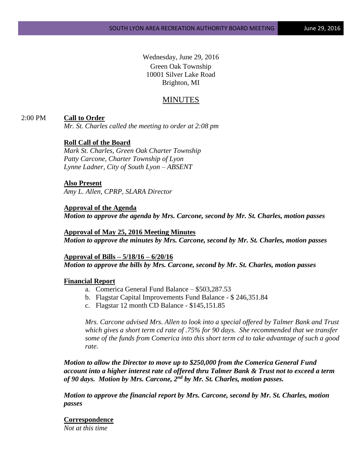Wednesday, June 29, 2016 Green Oak Township 10001 Silver Lake Road Brighton, MI

## MINUTES

## 2:00 PM **Call to Order**

*Mr. St. Charles called the meeting to order at 2:08 pm*

## **Roll Call of the Board**

*Mark St. Charles, Green Oak Charter Township Patty Carcone, Charter Township of Lyon Lynne Ladner, City of South Lyon – ABSENT*

#### **Also Present**

*Amy L. Allen, CPRP, SLARA Director*

## **Approval of the Agenda**

*Motion to approve the agenda by Mrs. Carcone, second by Mr. St. Charles, motion passes*

**Approval of May 25, 2016 Meeting Minutes** *Motion to approve the minutes by Mrs. Carcone, second by Mr. St. Charles, motion passes*

**Approval of Bills – 5/18/16 – 6/20/16** *Motion to approve the bills by Mrs. Carcone, second by Mr. St. Charles, motion passes*

#### **Financial Report**

- a. Comerica General Fund Balance \$503,287.53
- b. Flagstar Capital Improvements Fund Balance \$ 246,351.84
- c. Flagstar 12 month CD Balance \$145,151.85

*Mrs. Carcone advised Mrs. Allen to look into a special offered by Talmer Bank and Trust which gives a short term cd rate of .75% for 90 days. She recommended that we transfer some of the funds from Comerica into this short term cd to take advantage of such a good rate.*

*Motion to allow the Director to move up to \$250,000 from the Comerica General Fund account into a higher interest rate cd offered thru Talmer Bank & Trust not to exceed a term of 90 days. Motion by Mrs. Carcone, 2nd by Mr. St. Charles, motion passes.*

*Motion to approve the financial report by Mrs. Carcone, second by Mr. St. Charles, motion passes*

# **Correspondence**

*Not at this time*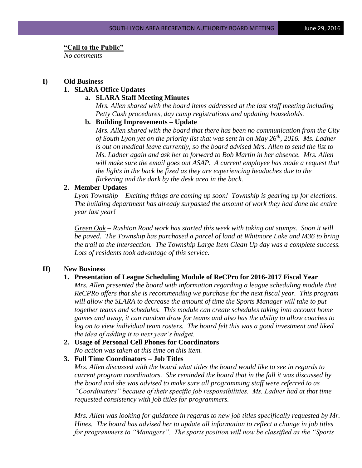#### **"Call to the Public"**

*No comments*

#### **I) Old Business**

## **1. SLARA Office Updates**

#### **a. SLARA Staff Meeting Minutes**

*Mrs. Allen shared with the board items addressed at the last staff meeting including Petty Cash procedures, day camp registrations and updating households.*

## **b. Building Improvements – Update**

*Mrs. Allen shared with the board that there has been no communication from the City of South Lyon yet on the priority list that was sent in on May 26th, 2016. Ms. Ladner is out on medical leave currently, so the board advised Mrs. Allen to send the list to Ms. Ladner again and ask her to forward to Bob Martin in her absence. Mrs. Allen will make sure the email goes out ASAP. A current employee has made a request that the lights in the back be fixed as they are experiencing headaches due to the flickering and the dark by the desk area in the back.*

#### **2. Member Updates**

*Lyon Township – Exciting things are coming up soon! Township is gearing up for elections. The building department has already surpassed the amount of work they had done the entire year last year!* 

*Green Oak – Rushton Road work has started this week with taking out stumps. Soon it will be paved. The Township has purchased a parcel of land at Whitmore Lake and M36 to bring the trail to the intersection. The Township Large Item Clean Up day was a complete success. Lots of residents took advantage of this service.* 

#### **II) New Business**

#### **1. Presentation of League Scheduling Module of ReCPro for 2016-2017 Fiscal Year**

*Mrs. Allen presented the board with information regarding a league scheduling module that ReCPRo offers that she is recommending we purchase for the next fiscal year. This program*  will allow the SLARA to decrease the amount of time the Sports Manager will take to put *together teams and schedules. This module can create schedules taking into account home games and away, it can random draw for teams and also has the ability to allow coaches to log on to view individual team rosters. The board felt this was a good investment and liked the idea of adding it to next year's budget.*

## **2. Usage of Personal Cell Phones for Coordinators** *No action was taken at this time on this item.*

## **3. Full Time Coordinators – Job Titles**

*Mrs. Allen discussed with the board what titles the board would like to see in regards to current program coordinators. She reminded the board that in the fall it was discussed by the board and she was advised to make sure all programming staff were referred to as "Coordinators" because of their specific job responsibilities. Ms. Ladner had at that time requested consistency with job titles for programmers.* 

*Mrs. Allen was looking for guidance in regards to new job titles specifically requested by Mr. Hines. The board has advised her to update all information to reflect a change in job titles for programmers to "Managers". The sports position will now be classified as the "Sports*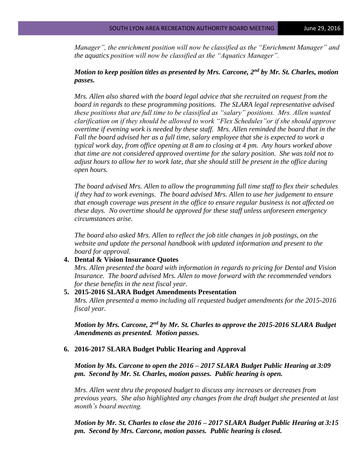*Manager", the enrichment position will now be classified as the "Enrichment Manager" and the aquatics position will now be classified as the "Aquatics Manager".*

## *Motion to keep position titles as presented by Mrs. Carcone, 2nd by Mr. St. Charles, motion passes.*

*Mrs. Allen also shared with the board legal advice that she recruited on request from the board in regards to these programming positions. The SLARA legal representative advised these positions that are full time to be classified as "salary" positions. Mrs. Allen wanted clarification on if they should be allowed to work "Flex Schedules"or if she should approve overtime if evening work is needed by these staff. Mrs. Allen reminded the board that in the Fall the board advised her as a full time, salary employee that she is expected to work a typical work day, from office opening at 8 am to closing at 4 pm. Any hours worked above that time are not considered approved overtime for the salary position. She was told not to adjust hours to allow her to work late, that she should still be present in the office during open hours.* 

*The board advised Mrs. Allen to allow the programming full time staff to flex their schedules if they had to work evenings. The board advised Mrs. Allen to use her judgement to ensure that enough coverage was present in the office to ensure regular business is not affected on these days. No overtime should be approved for these staff unless unforeseen emergency circumstances arise.* 

*The board also asked Mrs. Allen to reflect the job title changes in job postings, on the website and update the personal handbook with updated information and present to the board for approval.*

## **4. Dental & Vision Insurance Quotes**

*Mrs. Allen presented the board with information in regards to pricing for Dental and Vision Insurance. The board advised Mrs. Allen to move forward with the recommended vendors for these benefits in the next fiscal year.*

#### **5. 2015-2016 SLARA Budget Amendments Presentation**

*Mrs. Allen presented a memo including all requested budget amendments for the 2015-2016 fiscal year.* 

*Motion by Mrs. Carcone, 2nd by Mr. St. Charles to approve the 2015-2016 SLARA Budget Amendments as presented. Motion passes.*

#### **6. 2016-2017 SLARA Budget Public Hearing and Approval**

*Motion by Ms. Carcone to open the 2016 – 2017 SLARA Budget Public Hearing at 3:09 pm. Second by Mr. St. Charles, motion passes. Public hearing is open.*

*Mrs. Allen went thru the proposed budget to discuss any increases or decreases from previous years. She also highlighted any changes from the draft budget she presented at last month's board meeting.* 

*Motion by Mr. St. Charles to close the 2016 – 2017 SLARA Budget Public Hearing at 3:15 pm. Second by Mrs. Carcone, motion passes. Public hearing is closed.*